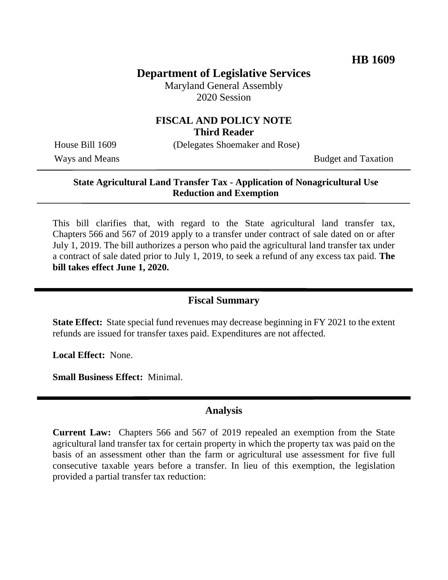# **Department of Legislative Services**

Maryland General Assembly 2020 Session

### **FISCAL AND POLICY NOTE Third Reader**

House Bill 1609 (Delegates Shoemaker and Rose)

Ways and Means Budget and Taxation

#### **State Agricultural Land Transfer Tax - Application of Nonagricultural Use Reduction and Exemption**

This bill clarifies that, with regard to the State agricultural land transfer tax, Chapters 566 and 567 of 2019 apply to a transfer under contract of sale dated on or after July 1, 2019. The bill authorizes a person who paid the agricultural land transfer tax under a contract of sale dated prior to July 1, 2019, to seek a refund of any excess tax paid. **The bill takes effect June 1, 2020.**

### **Fiscal Summary**

**State Effect:** State special fund revenues may decrease beginning in FY 2021 to the extent refunds are issued for transfer taxes paid. Expenditures are not affected.

**Local Effect:** None.

**Small Business Effect:** Minimal.

#### **Analysis**

**Current Law:** Chapters 566 and 567 of 2019 repealed an exemption from the State agricultural land transfer tax for certain property in which the property tax was paid on the basis of an assessment other than the farm or agricultural use assessment for five full consecutive taxable years before a transfer. In lieu of this exemption, the legislation provided a partial transfer tax reduction: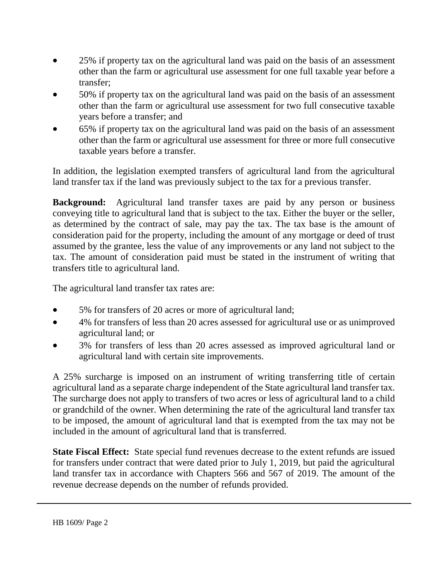- 25% if property tax on the agricultural land was paid on the basis of an assessment other than the farm or agricultural use assessment for one full taxable year before a transfer;
- 50% if property tax on the agricultural land was paid on the basis of an assessment other than the farm or agricultural use assessment for two full consecutive taxable years before a transfer; and
- 65% if property tax on the agricultural land was paid on the basis of an assessment other than the farm or agricultural use assessment for three or more full consecutive taxable years before a transfer.

In addition, the legislation exempted transfers of agricultural land from the agricultural land transfer tax if the land was previously subject to the tax for a previous transfer.

**Background:** Agricultural land transfer taxes are paid by any person or business conveying title to agricultural land that is subject to the tax. Either the buyer or the seller, as determined by the contract of sale, may pay the tax. The tax base is the amount of consideration paid for the property, including the amount of any mortgage or deed of trust assumed by the grantee, less the value of any improvements or any land not subject to the tax. The amount of consideration paid must be stated in the instrument of writing that transfers title to agricultural land.

The agricultural land transfer tax rates are:

- 5% for transfers of 20 acres or more of agricultural land;
- 4% for transfers of less than 20 acres assessed for agricultural use or as unimproved agricultural land; or
- 3% for transfers of less than 20 acres assessed as improved agricultural land or agricultural land with certain site improvements.

A 25% surcharge is imposed on an instrument of writing transferring title of certain agricultural land as a separate charge independent of the State agricultural land transfer tax. The surcharge does not apply to transfers of two acres or less of agricultural land to a child or grandchild of the owner. When determining the rate of the agricultural land transfer tax to be imposed, the amount of agricultural land that is exempted from the tax may not be included in the amount of agricultural land that is transferred.

**State Fiscal Effect:** State special fund revenues decrease to the extent refunds are issued for transfers under contract that were dated prior to July 1, 2019, but paid the agricultural land transfer tax in accordance with Chapters 566 and 567 of 2019. The amount of the revenue decrease depends on the number of refunds provided.